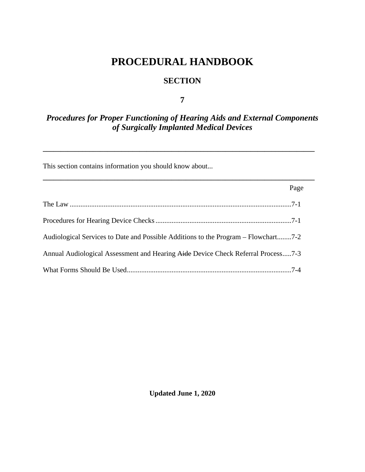# **PROCEDURAL HANDBOOK**

### **SECTION**

**7**

## *Procedures for Proper Functioning of Hearing Aids and External Components of Surgically Implanted Medical Devices*

**\_\_\_\_\_\_\_\_\_\_\_\_\_\_\_\_\_\_\_\_\_\_\_\_\_\_\_\_\_\_\_\_\_\_\_\_\_\_\_\_\_\_\_\_\_\_\_\_\_\_\_\_\_\_\_\_\_\_\_\_\_\_\_\_\_\_\_\_\_\_\_\_\_\_\_\_**

**\_\_\_\_\_\_\_\_\_\_\_\_\_\_\_\_\_\_\_\_\_\_\_\_\_\_\_\_\_\_\_\_\_\_\_\_\_\_\_\_\_\_\_\_\_\_\_\_\_\_\_\_\_\_\_\_\_\_\_\_\_\_\_\_\_\_\_\_\_\_\_\_\_\_\_\_**

This section contains information you should know about...

|                                                                                    | Page |
|------------------------------------------------------------------------------------|------|
|                                                                                    |      |
|                                                                                    |      |
| Audiological Services to Date and Possible Additions to the Program – Flowchart7-2 |      |
| Annual Audiological Assessment and Hearing Aide Device Check Referral Process7-3   |      |
|                                                                                    |      |

**Updated June 1, 2020**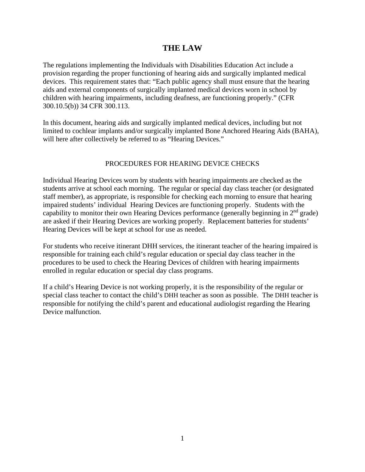### **THE LAW**

The regulations implementing the Individuals with Disabilities Education Act include a provision regarding the proper functioning of hearing aids and surgically implanted medical devices. This requirement states that: "Each public agency shall must ensure that the hearing aids and external components of surgically implanted medical devices worn in school by children with hearing impairments, including deafness, are functioning properly." (CFR 300.10.5(b)) 34 CFR 300.113.

In this document, hearing aids and surgically implanted medical devices, including but not limited to cochlear implants and/or surgically implanted Bone Anchored Hearing Aids (BAHA), will here after collectively be referred to as "Hearing Devices."

### PROCEDURES FOR HEARING DEVICE CHECKS

Individual Hearing Devices worn by students with hearing impairments are checked as the students arrive at school each morning. The regular or special day class teacher (or designated staff member), as appropriate, is responsible for checking each morning to ensure that hearing impaired students' individual Hearing Devices are functioning properly. Students with the capability to monitor their own Hearing Devices performance (generally beginning in  $2<sup>nd</sup>$  grade) are asked if their Hearing Devices are working properly. Replacement batteries for students' Hearing Devices will be kept at school for use as needed.

For students who receive itinerant DHH services, the itinerant teacher of the hearing impaired is responsible for training each child's regular education or special day class teacher in the procedures to be used to check the Hearing Devices of children with hearing impairments enrolled in regular education or special day class programs.

If a child's Hearing Device is not working properly, it is the responsibility of the regular or special class teacher to contact the child's DHH teacher as soon as possible. The DHH teacher is responsible for notifying the child's parent and educational audiologist regarding the Hearing Device malfunction.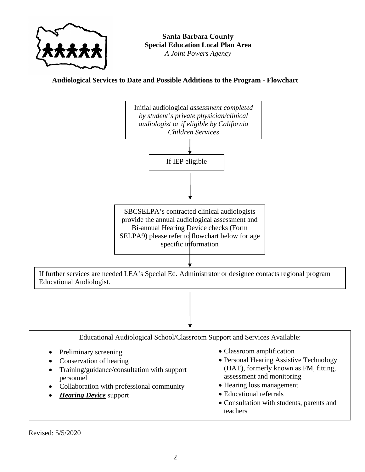

**Audiological Services to Date and Possible Additions to the Program - Flowchart**



- Preliminary screening
- Conservation of hearing
- Training/guidance/consultation with support personnel
- Collaboration with professional community
- *Hearing Device* support
- Classroom amplification
- Personal Hearing Assistive Technology (HAT), formerly known as FM, fitting, assessment and monitoring
- Hearing loss management
- Educational referrals

 $\overline{a}$ 

• Consultation with students, parents and teachers

Revised: 5/5/2020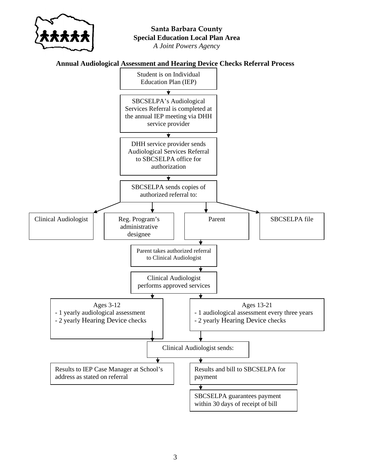

### **Annual Audiological Assessment and Hearing Device Checks Referral Process**